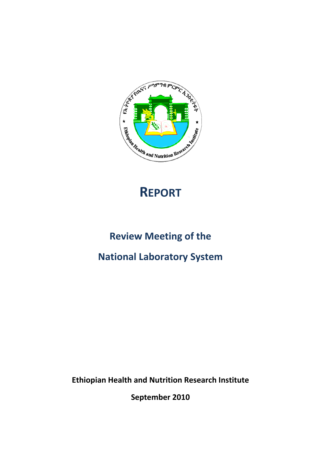

# **REPORT**

### **Review Meeting of the**

### **National Laboratory System**

**Ethiopian Health and Nutrition Research Institute**

**September 2010**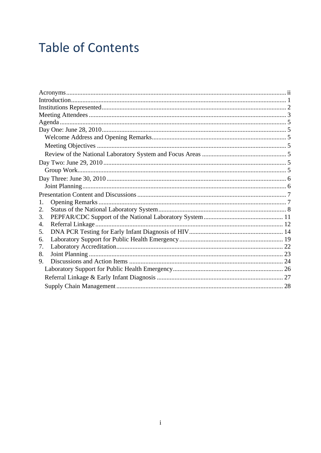# **Table of Contents**

| 1. |  |
|----|--|
| 2. |  |
| 3. |  |
| 4. |  |
| 5. |  |
| 6. |  |
| 7. |  |
| 8. |  |
| 9. |  |
|    |  |
|    |  |
|    |  |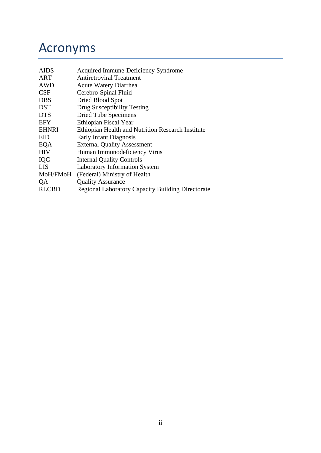## Acronyms

| <b>AIDS</b>  | Acquired Immune-Deficiency Syndrome                      |
|--------------|----------------------------------------------------------|
| ART          | <b>Antiretroviral Treatment</b>                          |
| <b>AWD</b>   | <b>Acute Watery Diarrhea</b>                             |
| <b>CSF</b>   | Cerebro-Spinal Fluid                                     |
| <b>DBS</b>   | Dried Blood Spot                                         |
| <b>DST</b>   | Drug Susceptibility Testing                              |
| <b>DTS</b>   | Dried Tube Specimens                                     |
| <b>EFY</b>   | Ethiopian Fiscal Year                                    |
| <b>EHNRI</b> | Ethiopian Health and Nutrition Research Institute        |
| <b>EID</b>   | <b>Early Infant Diagnosis</b>                            |
| EQA          | <b>External Quality Assessment</b>                       |
| <b>HIV</b>   | Human Immunodeficiency Virus                             |
| IQC          | <b>Internal Quality Controls</b>                         |
| LIS          | <b>Laboratory Information System</b>                     |
| MoH/FMoH     | (Federal) Ministry of Health                             |
| QA           | <b>Quality Assurance</b>                                 |
| <b>RLCBD</b> | <b>Regional Laboratory Capacity Building Directorate</b> |
|              |                                                          |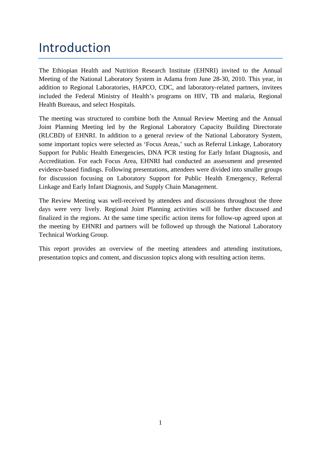# Introduction

The Ethiopian Health and Nutrition Research Institute (EHNRI) invited to the Annual Meeting of the National Laboratory System in Adama from June 28-30, 2010. This year, in addition to Regional Laboratories, HAPCO, CDC, and laboratory-related partners, invitees included the Federal Ministry of Health's programs on HIV, TB and malaria, Regional Health Bureaus, and select Hospitals.

The meeting was structured to combine both the Annual Review Meeting and the Annual Joint Planning Meeting led by the Regional Laboratory Capacity Building Directorate (RLCBD) of EHNRI. In addition to a general review of the National Laboratory System, some important topics were selected as 'Focus Areas,' such as Referral Linkage, Laboratory Support for Public Health Emergencies, DNA PCR testing for Early Infant Diagnosis, and Accreditation. For each Focus Area, EHNRI had conducted an assessment and presented evidence-based findings. Following presentations, attendees were divided into smaller groups for discussion focusing on Laboratory Support for Public Health Emergency, Referral Linkage and Early Infant Diagnosis, and Supply Chain Management.

The Review Meeting was well-received by attendees and discussions throughout the three days were very lively. Regional Joint Planning activities will be further discussed and finalized in the regions. At the same time specific action items for follow-up agreed upon at the meeting by EHNRI and partners will be followed up through the National Laboratory Technical Working Group.

This report provides an overview of the meeting attendees and attending institutions, presentation topics and content, and discussion topics along with resulting action items.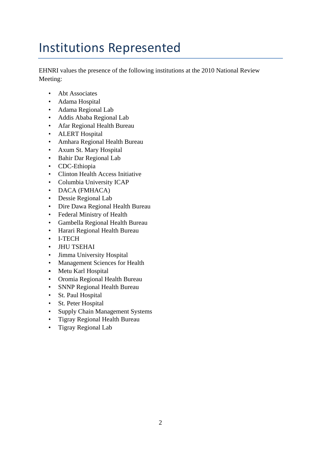# Institutions Represented

EHNRI values the presence of the following institutions at the 2010 National Review Meeting:

- Abt Associates
- Adama Hospital
- Adama Regional Lab
- Addis Ababa Regional Lab
- Afar Regional Health Bureau
- ALERT Hospital
- Amhara Regional Health Bureau
- Axum St. Mary Hospital
- Bahir Dar Regional Lab
- CDC-Ethiopia
- Clinton Health Access Initiative
- Columbia University ICAP
- DACA (FMHACA)
- Dessie Regional Lab
- Dire Dawa Regional Health Bureau
- Federal Ministry of Health
- Gambella Regional Health Bureau
- Harari Regional Health Bureau
- I-TECH
- JHU TSEHAI
- Jimma University Hospital
- Management Sciences for Health
- Metu Karl Hospital
- Oromia Regional Health Bureau
- SNNP Regional Health Bureau
- St. Paul Hospital
- St. Peter Hospital
- Supply Chain Management Systems
- Tigray Regional Health Bureau
- Tigray Regional Lab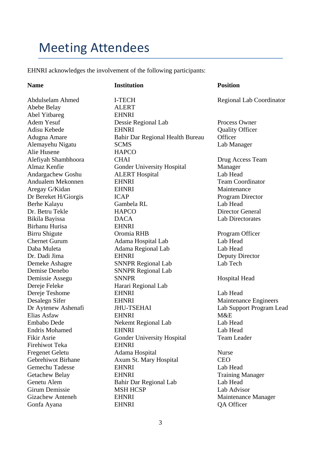## Meeting Attendees

EHNRI acknowledges the involvement of the following participants:

#### **Name 22 Institution 1976** Position

Abebe Belay ALERT Abel Yitbareg EHNRI Alie Husene HAPCO Birhanu Hurisa EHNRI Demise Denebo SNNPR Regional Lab Dereje Feleke Harari Regional Lab Firehiwot Teka EHNRI

Abdulselam Ahmed I-TECH Regional Lab Coordinator Adem Yesuf Dessie Regional Lab Process Owner Adisu Kebede **EHNRI** Quality Officer Adugna Amare Bahir Dar Regional Health Bureau Officer Alemayehu Nigatu SCMS Lab Manager Alefiyah Shambhoora CHAI Drug Access Team Almaz Kenfie Gonder University Hospital Manager Andargachew Goshu ALERT Hospital Lab Head Andualem Mekonnen EHNRI Team Coordinator Aregay G/Kidan EHNRI Maintenance Dr Bereket H/Giorgis ICAP Program Director Berhe Kalayu Gambela RL Lab Head Dr. Betru Tekle HAPCO Director General Bikila Bayissa DACA Lab Directorates Birru Shigute **Oromia RHB** Program Officer Chernet Gurum Adama Hospital Lab Lab Head Daba Muleta Adama Regional Lab Lab Head Dr. Dadi Jima EHNRI Deputy Director Demeke Ashagre SNNPR Regional Lab Lab Tech Demissie Assegu SNNPR Hospital Head Dereie Teshome EHNRI Lab Head Desalegn Sifer EHNRI Maintenance Engineers Dr Aytenew Ashenafi JHU-TSEHAI Lab Support Program Lead Elias Asfaw EHNRI M&E Embabo Dede Nekemt Regional Lab Lab Head Endris Mohamed EHNRI Lab Head Fikir Asrie Gonder University Hospital Team Leader Fregenet Geletu Adama Hospital Nurse Gebrehiwot Birhane Axum St. Mary Hospital CEO Gemechu Tadesse EHNRI Lab Head Getachew Belay **EHNRI** Training Manager Genetu Alem Bahir Dar Regional Lab Lab Head Girum Demissie MSH HCSP Lab Advisor Gizachew Anteneh EHNRI Maintenance Manager Gonfa Ayana **EHNRI** QA Officer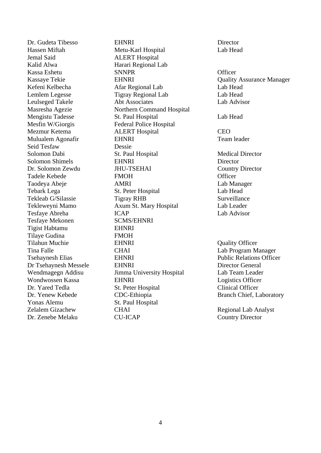Dr. Gudeta Tibesso EHNRI Director Jemal Said ALERT Hospital Kalid Alwa **Harari Regional Lab** Mesfin W/Giorgis Federal Police Hospital Seid Tesfaw Dessie Tesfaye Mekonen SCMS/EHNRI Tigist Habtamu EHNRI Tilaye Gudina FMOH Yonas Alemu St. Paul Hospital Dr. Zenebe Melaku CU-ICAP Country Director

Hassen Miftah Metu-Karl Hospital Lab Head Kassa Eshetu SNNPR SNNPR Officer Kefeni Kelbecha Afar Regional Lab Lab Head Lemlem Legesse Tigray Regional Lab Lab Head Leulseged Takele Abt Associates Lab Advisor Masresha Agezie Northern Command Hospital Mengistu Tadesse St. Paul Hospital Cab Head Mezmur Ketema ALERT Hospital CEO Mulualem Agonafir **EHNRI** Team leader Solomon Dabi St. Paul Hospital Medical Director Solomon Shimels **EHNRI** Director Dr. Solomon Zewdu JHU-TSEHAI Country Director Tadele Kebede FMOH FMOH Officer Taodeya Abeje AMRI Lab Manager Tebark Lega St. Peter Hospital Lab Head Tekleab G/Silassie Tigray RHB Surveillance Tekleweyni Mamo Axum St. Mary Hospital Lab Leader Tesfaye Abreha ICAP Lab Advisor Tilahun Muchie EHNRI Quality Officer Tina Falle **CHAI** CHAI Lab Program Manager Tsehaynesh Elias EHNRI EHNRI Public Relations Officer Dr Tsehaynesh Messele EHNRI Director General Wendmagegn Addisu Jimma University Hospital Lab Team Leader Wondwossen Kassa **EHNRI** Logistics Officer Dr. Yared Tedla St. Peter Hospital Clinical Officer Dr. Yenew Kebede CDC-Ethiopia Branch Chief, Laboratory Zelalem Gizachew CHAI Regional Lab Analyst

Kassaye Tekie **EHNRI** Cuality Assurance Manager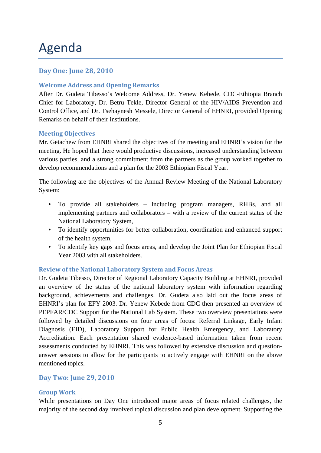## Agenda

#### **Day One: June 28, 2010**

#### **Welcome Address and Opening Remarks**

After Dr. Gudeta Tibesso's Welcome Address, Dr. Yenew Kebede, CDC-Ethiopia Branch Chief for Laboratory, Dr. Betru Tekle, Director General of the HIV/AIDS Prevention and Control Office, and Dr. Tsehaynesh Messele, Director General of EHNRI, provided Opening Remarks on behalf of their institutions.

#### **Meeting Objectives**

Mr. Getachew from EHNRI shared the objectives of the meeting and EHNRI's vision for the meeting. He hoped that there would productive discussions, increased understanding between various parties, and a strong commitment from the partners as the group worked together to develop recommendations and a plan for the 2003 Ethiopian Fiscal Year.

The following are the objectives of the Annual Review Meeting of the National Laboratory System:

- To provide all stakeholders including program managers, RHBs, and all implementing partners and collaborators – with a review of the current status of the National Laboratory System,
- To identify opportunities for better collaboration, coordination and enhanced support of the health system,
- To identify key gaps and focus areas, and develop the Joint Plan for Ethiopian Fiscal Year 2003 with all stakeholders.

#### **Review of the National Laboratory System and Focus Areas**

Dr. Gudeta Tibesso, Director of Regional Laboratory Capacity Building at EHNRI, provided an overview of the status of the national laboratory system with information regarding background, achievements and challenges. Dr. Gudeta also laid out the focus areas of EHNRI's plan for EFY 2003. Dr. Yenew Kebede from CDC then presented an overview of PEPFAR/CDC Support for the National Lab System. These two overview presentations were followed by detailed discussions on four areas of focus: Referral Linkage, Early Infant Diagnosis (EID), Laboratory Support for Public Health Emergency, and Laboratory Accreditation. Each presentation shared evidence-based information taken from recent assessments conducted by EHNRI. This was followed by extensive discussion and questionanswer sessions to allow for the participants to actively engage with EHNRI on the above mentioned topics.

#### **Day Two: June 29, 2010**

#### **Group Work**

While presentations on Day One introduced major areas of focus related challenges, the majority of the second day involved topical discussion and plan development. Supporting the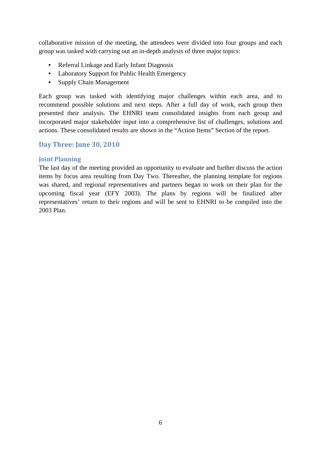collaborative mission of the meeting, the attendees were divided into four groups and each group was tasked with carrying out an in-depth analysis of three major topics:

- Referral Linkage and Early Infant Diagnosis
- Laboratory Support for Public Health Emergency
- Supply Chain Management

Each group was tasked with identifying major challenges within each area, and to recommend possible solutions and next steps. After a full day of work, each group then presented their analysis. The EHNRI team consolidated insights from each group and incorporated major stakeholder input into a comprehensive list of challenges, solutions and actions. These consolidated results are shown in the "Action Items" Section of the report.

#### **Day Three: June 30, 2010**

#### **Joint Planning**

The last day of the meeting provided an opportunity to evaluate and further discuss the action items by focus area resulting from Day Two. Thereafter, the planning template for regions was shared, and regional representatives and partners began to work on their plan for the upcoming fiscal year (EFY 2003). The plans by regions will be finalized after representatives' return to their regions and will be sent to EHNRI to be compiled into the 2003 Plan.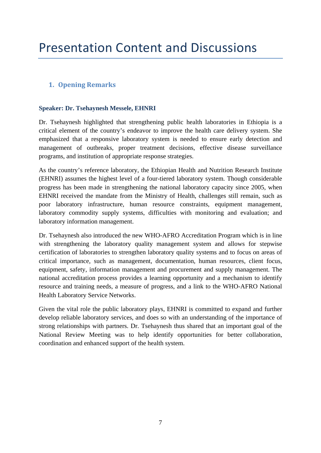### **1. Opening Remarks**

#### **Speaker: Dr. Tsehaynesh Messele, EHNRI**

Dr. Tsehaynesh highlighted that strengthening public health laboratories in Ethiopia is a critical element of the country's endeavor to improve the health care delivery system. She emphasized that a responsive laboratory system is needed to ensure early detection and management of outbreaks, proper treatment decisions, effective disease surveillance programs, and institution of appropriate response strategies.

As the country's reference laboratory, the Ethiopian Health and Nutrition Research Institute (EHNRI) assumes the highest level of a four-tiered laboratory system. Though considerable progress has been made in strengthening the national laboratory capacity since 2005, when EHNRI received the mandate from the Ministry of Health, challenges still remain, such as poor laboratory infrastructure, human resource constraints, equipment management, laboratory commodity supply systems, difficulties with monitoring and evaluation; and laboratory information management.

Dr. Tsehaynesh also introduced the new WHO-AFRO Accreditation Program which is in line with strengthening the laboratory quality management system and allows for stepwise certification of laboratories to strengthen laboratory quality systems and to focus on areas of critical importance, such as management, documentation, human resources, client focus, equipment, safety, information management and procurement and supply management. The national accreditation process provides a learning opportunity and a mechanism to identify resource and training needs, a measure of progress, and a link to the WHO-AFRO National Health Laboratory Service Networks.

Given the vital role the public laboratory plays, EHNRI is committed to expand and further develop reliable laboratory services, and does so with an understanding of the importance of strong relationships with partners. Dr. Tsehaynesh thus shared that an important goal of the National Review Meeting was to help identify opportunities for better collaboration, coordination and enhanced support of the health system.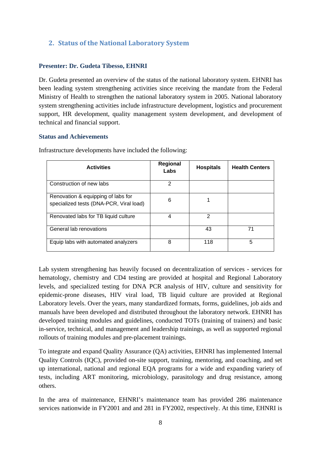#### **2. Status of the National Laboratory System**

#### **Presenter: Dr. Gudeta Tibesso, EHNRI**

Dr. Gudeta presented an overview of the status of the national laboratory system. EHNRI has been leading system strengthening activities since receiving the mandate from the Federal Ministry of Health to strengthen the national laboratory system in 2005. National laboratory system strengthening activities include infrastructure development, logistics and procurement support, HR development, quality management system development, and development of technical and financial support.

#### **Status and Achievements**

| <b>Activities</b>                                                             | Regional<br>Labs | <b>Hospitals</b> | <b>Health Centers</b> |
|-------------------------------------------------------------------------------|------------------|------------------|-----------------------|
| Construction of new labs                                                      | 2                |                  |                       |
| Renovation & equipping of labs for<br>specialized tests (DNA-PCR, Viral load) | 6                |                  |                       |
| Renovated labs for TB liquid culture                                          | 4                | 2                |                       |
| General lab renovations                                                       |                  | 43               | 71                    |
| Equip labs with automated analyzers                                           | 8                | 118              | 5                     |

Infrastructure developments have included the following:

Lab system strengthening has heavily focused on decentralization of services - services for hematology, chemistry and CD4 testing are provided at hospital and Regional Laboratory levels, and specialized testing for DNA PCR analysis of HIV, culture and sensitivity for epidemic-prone diseases, HIV viral load, TB liquid culture are provided at Regional Laboratory levels. Over the years, many standardized formats, forms, guidelines, job aids and manuals have been developed and distributed throughout the laboratory network. EHNRI has developed training modules and guidelines, conducted TOTs (training of trainers) and basic in-service, technical, and management and leadership trainings, as well as supported regional rollouts of training modules and pre-placement trainings.

To integrate and expand Quality Assurance (QA) activities, EHNRI has implemented Internal Quality Controls (IQC), provided on-site support, training, mentoring, and coaching, and set up international, national and regional EQA programs for a wide and expanding variety of tests, including ART monitoring, microbiology, parasitology and drug resistance, among others.

In the area of maintenance, EHNRI's maintenance team has provided 286 maintenance services nationwide in FY2001 and and 281 in FY2002, respectively. At this time, EHNRI is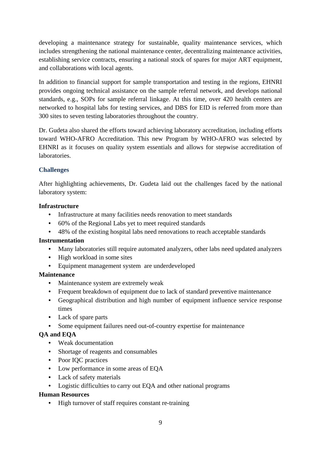developing a maintenance strategy for sustainable, quality maintenance services, which includes strengthening the national maintenance center, decentralizing maintenance activities, establishing service contracts, ensuring a national stock of spares for major ART equipment, and collaborations with local agents.

In addition to financial support for sample transportation and testing in the regions, EHNRI provides ongoing technical assistance on the sample referral network, and develops national standards, e.g., SOPs for sample referral linkage. At this time, over 420 health centers are networked to hospital labs for testing services, and DBS for EID is referred from more than 300 sites to seven testing laboratories throughout the country.

Dr. Gudeta also shared the efforts toward achieving laboratory accreditation, including efforts toward WHO-AFRO Accreditation. This new Program by WHO-AFRO was selected by EHNRI as it focuses on quality system essentials and allows for stepwise accreditation of laboratories.

#### **Challenges**

After highlighting achievements, Dr. Gudeta laid out the challenges faced by the national laboratory system:

#### **Infrastructure**

- Infrastructure at many facilities needs renovation to meet standards
- 60% of the Regional Labs yet to meet required standards
- 48% of the existing hospital labs need renovations to reach acceptable standards

#### **Instrumentation**

- Many laboratories still require automated analyzers, other labs need updated analyzers
- High workload in some sites
- Equipment management system are underdeveloped

#### **Maintenance**

- Maintenance system are extremely weak
- Frequent breakdown of equipment due to lack of standard preventive maintenance
- Geographical distribution and high number of equipment influence service response times
- Lack of spare parts
- Some equipment failures need out-of-country expertise for maintenance

#### **QA and EQA**

- Weak documentation
- Shortage of reagents and consumables
- Poor IQC practices
- Low performance in some areas of EQA
- Lack of safety materials
- Logistic difficulties to carry out EQA and other national programs

#### **Human Resources**

• High turnover of staff requires constant re-training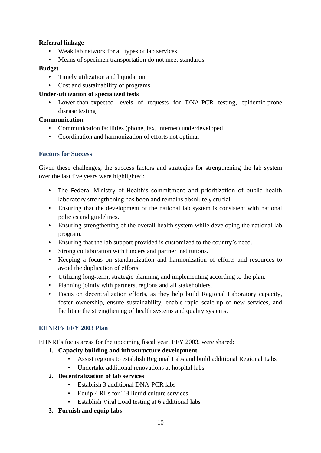#### **Referral linkage**

- Weak lab network for all types of lab services
- Means of specimen transportation do not meet standards

#### **Budget**

- Timely utilization and liquidation
- Cost and sustainability of programs

#### **Under-utilization of specialized tests**

• Lower-than-expected levels of requests for DNA-PCR testing, epidemic-prone disease testing

#### **Communication**

- Communication facilities (phone, fax, internet) underdeveloped
- Coordination and harmonization of efforts not optimal

#### **Factors for Success**

Given these challenges, the success factors and strategies for strengthening the lab system over the last five years were highlighted:

- The Federal Ministry of Health's commitment and prioritization of public health laboratory strengthening has been and remains absolutely crucial.
- Ensuring that the development of the national lab system is consistent with national policies and guidelines.
- Ensuring strengthening of the overall health system while developing the national lab program.
- Ensuring that the lab support provided is customized to the country's need.
- Strong collaboration with funders and partner institutions.
- Keeping a focus on standardization and harmonization of efforts and resources to avoid the duplication of efforts.
- Utilizing long-term, strategic planning, and implementing according to the plan.
- Planning jointly with partners, regions and all stakeholders.
- Focus on decentralization efforts, as they help build Regional Laboratory capacity, foster ownership, ensure sustainability, enable rapid scale-up of new services, and facilitate the strengthening of health systems and quality systems.

#### **EHNRI's EFY 2003 Plan**

EHNRI's focus areas for the upcoming fiscal year, EFY 2003, were shared:

- **1. Capacity building and infrastructure development** 
	- Assist regions to establish Regional Labs and build additional Regional Labs
	- Undertake additional renovations at hospital labs
- **2. Decentralization of lab services** 
	- Establish 3 additional DNA-PCR labs
	- Equip 4 RLs for TB liquid culture services
	- Establish Viral Load testing at 6 additional labs
- **3. Furnish and equip labs**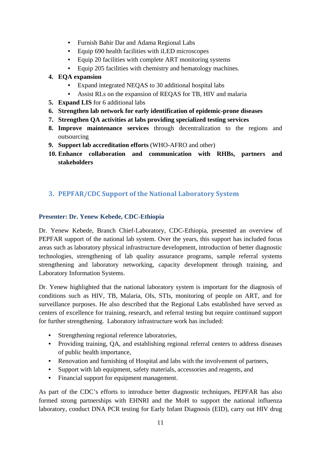- Furnish Bahir Dar and Adama Regional Labs
- Equip 690 health facilities with iLED microscopes
- Equip 20 facilities with complete ART monitoring systems
- Equip 205 facilities with chemistry and hematology machines.
- **4. EQA expansion** 
	- Expand integrated NEQAS to 30 additional hospital labs
	- Assist RLs on the expansion of REQAS for TB, HIV and malaria
- **5. Expand LIS** for 6 additional labs
- **6. Strengthen lab network for early identification of epidemic-prone diseases**
- **7. Strengthen QA activities at labs providing specialized testing services**
- **8. Improve maintenance services** through decentralization to the regions and outsourcing
- **9. Support lab accreditation efforts** (WHO-AFRO and other)
- **10. Enhance collaboration and communication with RHBs, partners and stakeholders**

### **3. PEPFAR/CDC Support of the National Laboratory System**

#### **Presenter: Dr. Yenew Kebede, CDC-Ethiopia**

Dr. Yenew Kebede, Branch Chief-Laboratory, CDC-Ethiopia, presented an overview of PEPFAR support of the national lab system. Over the years, this support has included focus areas such as laboratory physical infrastructure development, introduction of better diagnostic technologies, strengthening of lab quality assurance programs, sample referral systems strengthening and laboratory networking, capacity development through training, and Laboratory Information Systems.

Dr. Yenew highlighted that the national laboratory system is important for the diagnosis of conditions such as HIV, TB, Malaria, OIs, STIs, monitoring of people on ART, and for surveillance purposes. He also described that the Regional Labs established have served as centers of excellence for training, research, and referral testing but require continued support for further strengthening. Laboratory infrastructure work has included:

- Strengthening regional reference laboratories,
- Providing training, QA, and establishing regional referral centers to address diseases of public health importance,
- Renovation and furnishing of Hospital and labs with the involvement of partners,
- Support with lab equipment, safety materials, accessories and reagents, and
- Financial support for equipment management.

As part of the CDC's efforts to introduce better diagnostic techniques, PEPFAR has also formed strong partnerships with EHNRI and the MoH to support the national influenza laboratory, conduct DNA PCR testing for Early Infant Diagnosis (EID), carry out HIV drug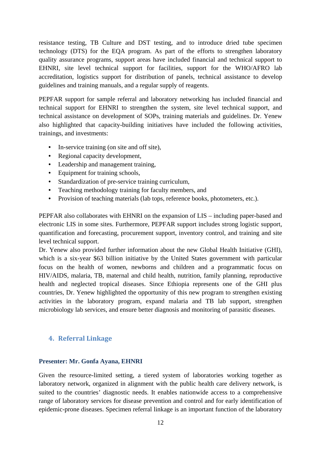resistance testing, TB Culture and DST testing, and to introduce dried tube specimen technology (DTS) for the EQA program. As part of the efforts to strengthen laboratory quality assurance programs, support areas have included financial and technical support to EHNRI, site level technical support for facilities, support for the WHO/AFRO lab accreditation, logistics support for distribution of panels, technical assistance to develop guidelines and training manuals, and a regular supply of reagents.

PEPFAR support for sample referral and laboratory networking has included financial and technical support for EHNRI to strengthen the system, site level technical support, and technical assistance on development of SOPs, training materials and guidelines. Dr. Yenew also highlighted that capacity-building initiatives have included the following activities, trainings, and investments:

- In-service training (on site and off site),
- Regional capacity development,
- Leadership and management training,
- Equipment for training schools,
- Standardization of pre-service training curriculum,
- Teaching methodology training for faculty members, and
- Provision of teaching materials (lab tops, reference books, photometers, etc.).

PEPFAR also collaborates with EHNRI on the expansion of LIS – including paper-based and electronic LIS in some sites. Furthermore, PEPFAR support includes strong logistic support, quantification and forecasting, procurement support, inventory control, and training and site level technical support.

Dr. Yenew also provided further information about the new Global Health Initiative (GHI), which is a six-year \$63 billion initiative by the United States government with particular focus on the health of women, newborns and children and a programmatic focus on HIV/AIDS, malaria, TB, maternal and child health, nutrition, family planning, reproductive health and neglected tropical diseases. Since Ethiopia represents one of the GHI plus countries, Dr. Yenew highlighted the opportunity of this new program to strengthen existing activities in the laboratory program, expand malaria and TB lab support, strengthen microbiology lab services, and ensure better diagnosis and monitoring of parasitic diseases.

#### **4. Referral Linkage**

#### **Presenter: Mr. Gonfa Ayana, EHNRI**

Given the resource-limited setting, a tiered system of laboratories working together as laboratory network, organized in alignment with the public health care delivery network, is suited to the countries' diagnostic needs. It enables nationwide access to a comprehensive range of laboratory services for disease prevention and control and for early identification of epidemic-prone diseases. Specimen referral linkage is an important function of the laboratory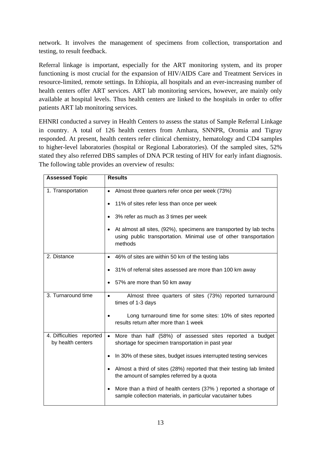network. It involves the management of specimens from collection, transportation and testing, to result feedback.

Referral linkage is important, especially for the ART monitoring system, and its proper functioning is most crucial for the expansion of HIV/AIDS Care and Treatment Services in resource-limited, remote settings. In Ethiopia, all hospitals and an ever-increasing number of health centers offer ART services. ART lab monitoring services, however, are mainly only available at hospital levels. Thus health centers are linked to the hospitals in order to offer patients ART lab monitoring services.

EHNRI conducted a survey in Health Centers to assess the status of Sample Referral Linkage in country. A total of 126 health centers from Amhara, SNNPR, Oromia and Tigray responded. At present, health centers refer clinical chemistry, hematology and CD4 samples to higher-level laboratories (hospital or Regional Laboratories). Of the sampled sites, 52% stated they also referred DBS samples of DNA PCR testing of HIV for early infant diagnosis. The following table provides an overview of results:

| <b>Assessed Topic</b>                         | <b>Results</b>                                                                                                                                      |
|-----------------------------------------------|-----------------------------------------------------------------------------------------------------------------------------------------------------|
| 1. Transportation                             | • Almost three quarters refer once per week (73%)                                                                                                   |
|                                               | 11% of sites refer less than once per week                                                                                                          |
|                                               | 3% refer as much as 3 times per week                                                                                                                |
|                                               | • At almost all sites, (92%), specimens are transported by lab techs<br>using public transportation. Minimal use of other transportation<br>methods |
| 2. Distance                                   | • 46% of sites are within 50 km of the testing labs                                                                                                 |
|                                               | 31% of referral sites assessed are more than 100 km away                                                                                            |
|                                               | 57% are more than 50 km away                                                                                                                        |
| 3. Turnaround time                            | Almost three quarters of sites (73%) reported turnaround<br>times of 1-3 days                                                                       |
|                                               | Long turnaround time for some sites: 10% of sites reported<br>results return after more than 1 week                                                 |
| 4. Difficulties reported<br>by health centers | • More than half (58%) of assessed sites reported a budget<br>shortage for specimen transportation in past year                                     |
|                                               | In 30% of these sites, budget issues interrupted testing services                                                                                   |
|                                               | Almost a third of sites (28%) reported that their testing lab limited<br>the amount of samples referred by a quota                                  |
|                                               | More than a third of health centers (37%) reported a shortage of<br>sample collection materials, in particular vacutainer tubes                     |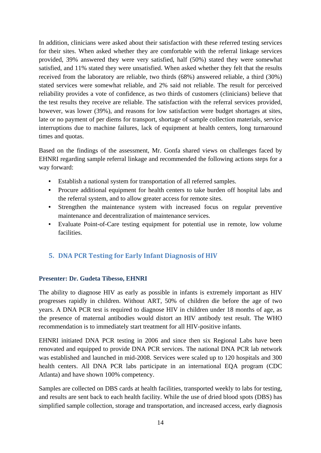In addition, clinicians were asked about their satisfaction with these referred testing services for their sites. When asked whether they are comfortable with the referral linkage services provided, 39% answered they were very satisfied, half (50%) stated they were somewhat satisfied, and 11% stated they were unsatisfied. When asked whether they felt that the results received from the laboratory are reliable, two thirds (68%) answered reliable, a third (30%) stated services were somewhat reliable, and 2% said not reliable. The result for perceived reliability provides a vote of confidence, as two thirds of customers (clinicians) believe that the test results they receive are reliable. The satisfaction with the referral services provided, however, was lower (39%), and reasons for low satisfaction were budget shortages at sites, late or no payment of per diems for transport, shortage of sample collection materials, service interruptions due to machine failures, lack of equipment at health centers, long turnaround times and quotas.

Based on the findings of the assessment, Mr. Gonfa shared views on challenges faced by EHNRI regarding sample referral linkage and recommended the following actions steps for a way forward:

- Establish a national system for transportation of all referred samples.
- Procure additional equipment for health centers to take burden off hospital labs and the referral system, and to allow greater access for remote sites.
- Strengthen the maintenance system with increased focus on regular preventive maintenance and decentralization of maintenance services.
- Evaluate Point-of-Care testing equipment for potential use in remote, low volume facilities.

### **5. DNA PCR Testing for Early Infant Diagnosis of HIV**

#### **Presenter: Dr. Gudeta Tibesso, EHNRI**

The ability to diagnose HIV as early as possible in infants is extremely important as HIV progresses rapidly in children. Without ART, 50% of children die before the age of two years. A DNA PCR test is required to diagnose HIV in children under 18 months of age, as the presence of maternal antibodies would distort an HIV antibody test result. The WHO recommendation is to immediately start treatment for all HIV-positive infants.

EHNRI initiated DNA PCR testing in 2006 and since then six Regional Labs have been renovated and equipped to provide DNA PCR services. The national DNA PCR lab network was established and launched in mid-2008. Services were scaled up to 120 hospitals and 300 health centers. All DNA PCR labs participate in an international EQA program (CDC Atlanta) and have shown 100% competency.

Samples are collected on DBS cards at health facilities, transported weekly to labs for testing, and results are sent back to each health facility. While the use of dried blood spots (DBS) has simplified sample collection, storage and transportation, and increased access, early diagnosis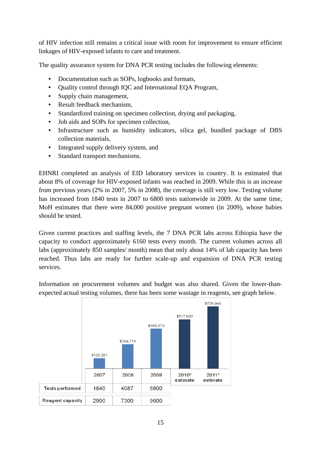of HIV infection still remains a critical issue with room for improvement to ensure efficient linkages of HIV-exposed infants to care and treatment.

The quality assurance system for DNA PCR testing includes the following elements:

- Documentation such as SOPs, logbooks and formats,
- Ouality control through IOC and International EOA Program,
- Supply chain management,
- Result feedback mechanism,
- Standardized training on specimen collection, drying and packaging,
- Job aids and SOPs for specimen collection.
- Infrastructure such as humidity indicators, silica gel, bundled package of DBS collection materials,
- Integrated supply delivery system, and
- Standard transport mechanisms.

EHNRI completed an analysis of EID laboratory services in country. It is estimated that about 8% of coverage for HIV-exposed infants was reached in 2009. While this is an increase from previous years (2% in 2007, 5% in 2008), the coverage is still very low. Testing volume has increased from 1840 tests in 2007 to 6800 tests nationwide in 2009. At the same time, MoH estimates that there were 84,000 positive pregnant women (in 2009), whose babies should be tested.

Given current practices and staffing levels, the 7 DNA PCR labs across Ethiopia have the capacity to conduct approximately 6160 tests every month. The current volumes across all labs (approximately 850 samples/ month) mean that only about 14% of lab capacity has been reached. Thus labs are ready for further scale-up and expansion of DNA PCR testing services.

Information on procurement volumes and budget was also shared. Given the lower-thanexpected actual testing volumes, there has been some wastage in reagents, see graph below.

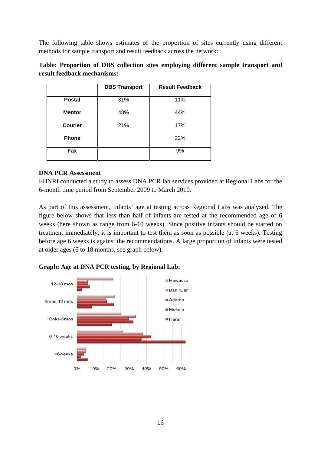The following table shows estimates of the proportion of sites currently using different methods for sample transport and result feedback across the network:

| Table: Proportion of DBS collection sites employing different sample transport and |  |  |  |  |
|------------------------------------------------------------------------------------|--|--|--|--|
| result feedback mechanisms:                                                        |  |  |  |  |

|                | <b>DBS Transport</b> | <b>Result Feedback</b> |
|----------------|----------------------|------------------------|
| <b>Postal</b>  | 31%                  | 11%                    |
| <b>Mentor</b>  | 48%                  | 44%                    |
| <b>Courier</b> | 21%                  | 17%                    |
| Phone          |                      | 22%                    |
| Fax            |                      | 9%                     |

#### **DNA PCR Assessment**

EHNRI conducted a study to assess DNA PCR lab services provided at Regional Labs for the 6-month time period from September 2009 to March 2010.

As part of this assessment, Infants' age at testing across Regional Labs was analyzed. The figure below shows that less than half of infants are tested at the recommended age of 6 weeks (here shown as range from 6-10 weeks). Since positive infants should be started on treatment immediately, it is important to test them as soon as possible (at 6 weeks). Testing before age 6 weeks is against the recommendations. A large proportion of infants were tested at older ages (6 to 18 months, see graph below).



**Graph: Age at DNA PCR testing, by Regional Lab:**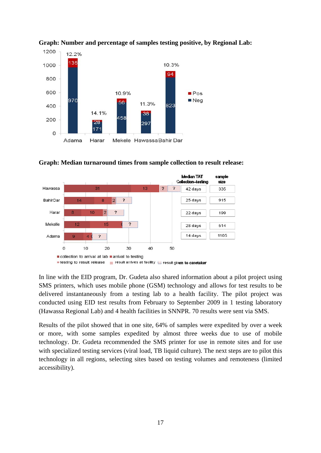

**Graph: Number and percentage of samples testing positive, by Regional Lab:** 





In line with the EID program, Dr. Gudeta also shared information about a pilot project using SMS printers, which uses mobile phone (GSM) technology and allows for test results to be delivered instantaneously from a testing lab to a health facility. The pilot project was conducted using EID test results from February to September 2009 in 1 testing laboratory (Hawassa Regional Lab) and 4 health facilities in SNNPR. 70 results were sent via SMS.

Results of the pilot showed that in one site, 64% of samples were expedited by over a week or more, with some samples expedited by almost three weeks due to use of mobile technology. Dr. Gudeta recommended the SMS printer for use in remote sites and for use with specialized testing services (viral load, TB liquid culture). The next steps are to pilot this technology in all regions, selecting sites based on testing volumes and remoteness (limited accessibility).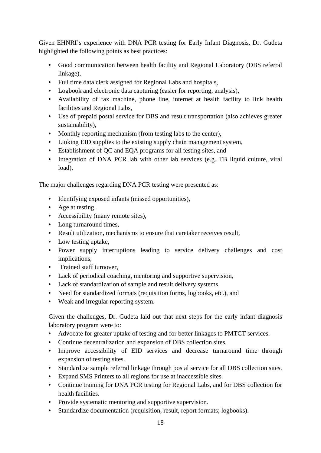Given EHNRI's experience with DNA PCR testing for Early Infant Diagnosis, Dr. Gudeta highlighted the following points as best practices:

- Good communication between health facility and Regional Laboratory (DBS referral linkage),
- Full time data clerk assigned for Regional Labs and hospitals,
- Logbook and electronic data capturing (easier for reporting, analysis),
- Availability of fax machine, phone line, internet at health facility to link health facilities and Regional Labs,
- Use of prepaid postal service for DBS and result transportation (also achieves greater sustainability),
- Monthly reporting mechanism (from testing labs to the center),
- Linking EID supplies to the existing supply chain management system,
- Establishment of QC and EQA programs for all testing sites, and
- Integration of DNA PCR lab with other lab services (e.g. TB liquid culture, viral load).

The major challenges regarding DNA PCR testing were presented as:

- Identifying exposed infants (missed opportunities),
- Age at testing,
- Accessibility (many remote sites),
- Long turnaround times,
- Result utilization, mechanisms to ensure that caretaker receives result.
- Low testing uptake,
- Power supply interruptions leading to service delivery challenges and cost implications,
- Trained staff turnover,
- Lack of periodical coaching, mentoring and supportive supervision,
- Lack of standardization of sample and result delivery systems,
- Need for standardized formats (requisition forms, logbooks, etc.), and
- Weak and irregular reporting system.

Given the challenges, Dr. Gudeta laid out that next steps for the early infant diagnosis laboratory program were to:

- Advocate for greater uptake of testing and for better linkages to PMTCT services.
- Continue decentralization and expansion of DBS collection sites.
- Improve accessibility of EID services and decrease turnaround time through expansion of testing sites.
- Standardize sample referral linkage through postal service for all DBS collection sites.
- Expand SMS Printers to all regions for use at inaccessible sites.
- Continue training for DNA PCR testing for Regional Labs, and for DBS collection for health facilities.
- Provide systematic mentoring and supportive supervision.
- Standardize documentation (requisition, result, report formats; logbooks).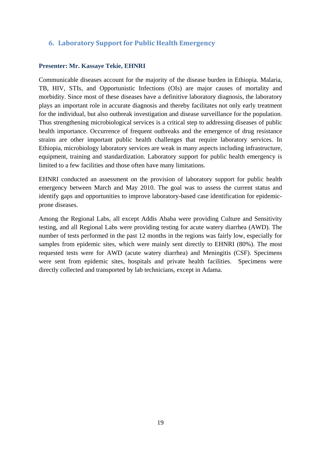#### **6. Laboratory Support for Public Health Emergency**

#### **Presenter: Mr. Kassaye Tekie, EHNRI**

Communicable diseases account for the majority of the disease burden in Ethiopia. Malaria, TB, HIV, STIs, and Opportunistic Infections (OIs) are major causes of mortality and morbidity. Since most of these diseases have a definitive laboratory diagnosis, the laboratory plays an important role in accurate diagnosis and thereby facilitates not only early treatment for the individual, but also outbreak investigation and disease surveillance for the population. Thus strengthening microbiological services is a critical step to addressing diseases of public health importance. Occurrence of frequent outbreaks and the emergence of drug resistance strains are other important public health challenges that require laboratory services. In Ethiopia, microbiology laboratory services are weak in many aspects including infrastructure, equipment, training and standardization. Laboratory support for public health emergency is limited to a few facilities and those often have many limitations.

EHNRI conducted an assessment on the provision of laboratory support for public health emergency between March and May 2010. The goal was to assess the current status and identify gaps and opportunities to improve laboratory-based case identification for epidemicprone diseases.

Among the Regional Labs, all except Addis Ababa were providing Culture and Sensitivity testing, and all Regional Labs were providing testing for acute watery diarrhea (AWD). The number of tests performed in the past 12 months in the regions was fairly low, especially for samples from epidemic sites, which were mainly sent directly to EHNRI (80%). The most requested tests were for AWD (acute watery diarrhea) and Meningitis (CSF). Specimens were sent from epidemic sites, hospitals and private health facilities. Specimens were directly collected and transported by lab technicians, except in Adama.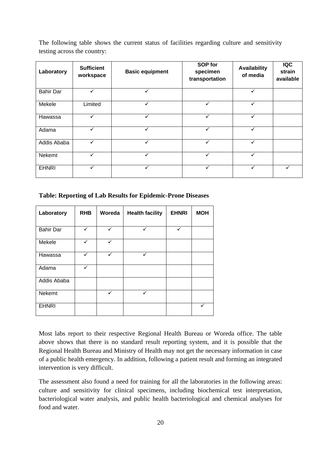The following table shows the current status of facilities regarding culture and sensitivity testing across the country:

| Laboratory       | <b>Sufficient</b><br>workspace | <b>Basic equipment</b> | SOP for<br>specimen<br>transportation | Availability<br>of media | <b>IQC</b><br>strain<br>available |
|------------------|--------------------------------|------------------------|---------------------------------------|--------------------------|-----------------------------------|
| <b>Bahir Dar</b> |                                |                        |                                       |                          |                                   |
| Mekele           | Limited                        |                        | $\checkmark$                          |                          |                                   |
| Hawassa          | ✓                              | ✓                      | ✓                                     | $\checkmark$             |                                   |
| Adama            | $\checkmark$                   | ✓                      | ✓                                     | ✓                        |                                   |
| Addis Ababa      | ✓                              | ✓                      | ✓                                     | ✓                        |                                   |
| Nekemt           |                                | $\checkmark$           | $\checkmark$                          | ✓                        |                                   |
| <b>EHNRI</b>     |                                | $\checkmark$           | $\checkmark$                          | ✓                        |                                   |

#### **Table: Reporting of Lab Results for Epidemic-Prone Diseases**

| Laboratory       | <b>RHB</b> | Woreda | <b>Health facility</b> | <b>EHNRI</b> | <b>MOH</b> |
|------------------|------------|--------|------------------------|--------------|------------|
| <b>Bahir Dar</b> | ✓          | ✓      |                        | ✓            |            |
| Mekele           | ✓          | ✓      |                        |              |            |
| Hawassa          | ✓          | ✓      | ✓                      |              |            |
| Adama            |            |        |                        |              |            |
| Addis Ababa      |            |        |                        |              |            |
| Nekemt           |            |        | ✓                      |              |            |
| <b>EHNRI</b>     |            |        |                        |              |            |

Most labs report to their respective Regional Health Bureau or Woreda office. The table above shows that there is no standard result reporting system, and it is possible that the Regional Health Bureau and Ministry of Health may not get the necessary information in case of a public health emergency. In addition, following a patient result and forming an integrated intervention is very difficult.

The assessment also found a need for training for all the laboratories in the following areas: culture and sensitivity for clinical specimens, including biochemical test interpretation, bacteriological water analysis, and public health bacteriological and chemical analyses for food and water.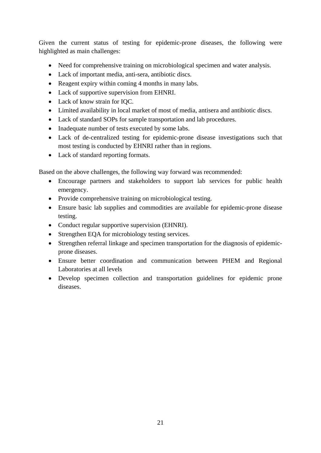Given the current status of testing for epidemic-prone diseases, the following were highlighted as main challenges:

- Need for comprehensive training on microbiological specimen and water analysis.
- Lack of important media, anti-sera, antibiotic discs.
- Reagent expiry within coming 4 months in many labs.
- Lack of supportive supervision from EHNRI.
- Lack of know strain for IQC.
- Limited availability in local market of most of media, antisera and antibiotic discs.
- Lack of standard SOPs for sample transportation and lab procedures.
- Inadequate number of tests executed by some labs.
- Lack of de-centralized testing for epidemic-prone disease investigations such that most testing is conducted by EHNRI rather than in regions.
- Lack of standard reporting formats.

Based on the above challenges, the following way forward was recommended:

- Encourage partners and stakeholders to support lab services for public health emergency.
- Provide comprehensive training on microbiological testing.
- Ensure basic lab supplies and commodities are available for epidemic-prone disease testing.
- Conduct regular supportive supervision (EHNRI).
- Strengthen EQA for microbiology testing services.
- Strengthen referral linkage and specimen transportation for the diagnosis of epidemicprone diseases.
- Ensure better coordination and communication between PHEM and Regional Laboratories at all levels
- Develop specimen collection and transportation guidelines for epidemic prone diseases.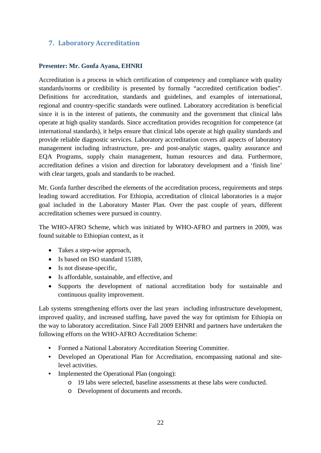#### **7. Laboratory Accreditation**

#### **Presenter: Mr. Gonfa Ayana, EHNRI**

Accreditation is a process in which certification of competency and compliance with quality standards/norms or credibility is presented by formally "accredited certification bodies". Definitions for accreditation, standards and guidelines, and examples of international, regional and country-specific standards were outlined. Laboratory accreditation is beneficial since it is in the interest of patients, the community and the government that clinical labs operate at high quality standards. Since accreditation provides recognition for competence (at international standards), it helps ensure that clinical labs operate at high quality standards and provide reliable diagnostic services. Laboratory accreditation covers all aspects of laboratory management including infrastructure, pre- and post-analytic stages, quality assurance and EQA Programs, supply chain management, human resources and data. Furthermore, accreditation defines a vision and direction for laboratory development and a 'finish line' with clear targets, goals and standards to be reached.

Mr. Gonfa further described the elements of the accreditation process, requirements and steps leading toward accreditation. For Ethiopia, accreditation of clinical laboratories is a major goal included in the Laboratory Master Plan. Over the past couple of years, different accreditation schemes were pursued in country.

The WHO-AFRO Scheme, which was initiated by WHO-AFRO and partners in 2009, was found suitable to Ethiopian context, as it

- Takes a step-wise approach,
- Is based on ISO standard 15189,
- Is not disease-specific,
- Is affordable, sustainable, and effective, and
- Supports the development of national accreditation body for sustainable and continuous quality improvement.

Lab systems strengthening efforts over the last years including infrastructure development, improved quality, and increased staffing, have paved the way for optimism for Ethiopia on the way to laboratory accreditation. Since Fall 2009 EHNRI and partners have undertaken the following efforts on the WHO-AFRO Accreditation Scheme:

- Formed a National Laboratory Accreditation Steering Committee.
- Developed an Operational Plan for Accreditation, encompassing national and sitelevel activities.
- Implemented the Operational Plan (ongoing):
	- o 19 labs were selected, baseline assessments at these labs were conducted.
	- o Development of documents and records.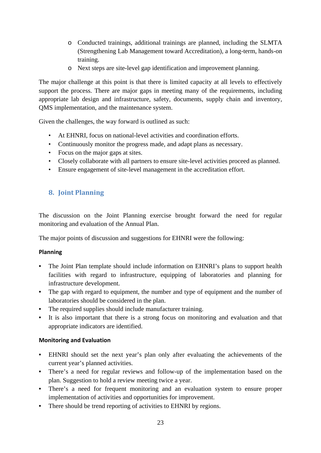- o Conducted trainings, additional trainings are planned, including the SLMTA (Strengthening Lab Management toward Accreditation), a long-term, hands-on training.
- o Next steps are site-level gap identification and improvement planning.

The major challenge at this point is that there is limited capacity at all levels to effectively support the process. There are major gaps in meeting many of the requirements, including appropriate lab design and infrastructure, safety, documents, supply chain and inventory, QMS implementation, and the maintenance system.

Given the challenges, the way forward is outlined as such:

- At EHNRI, focus on national-level activities and coordination efforts.
- Continuously monitor the progress made, and adapt plans as necessary.
- Focus on the major gaps at sites.
- Closely collaborate with all partners to ensure site-level activities proceed as planned.
- Ensure engagement of site-level management in the accreditation effort.

### **8. Joint Planning**

The discussion on the Joint Planning exercise brought forward the need for regular monitoring and evaluation of the Annual Plan.

The major points of discussion and suggestions for EHNRI were the following:

#### **Planning**

- The Joint Plan template should include information on EHNRI's plans to support health facilities with regard to infrastructure, equipping of laboratories and planning for infrastructure development.
- The gap with regard to equipment, the number and type of equipment and the number of laboratories should be considered in the plan.
- The required supplies should include manufacturer training.
- It is also important that there is a strong focus on monitoring and evaluation and that appropriate indicators are identified.

#### **Monitoring and Evaluation**

- EHNRI should set the next year's plan only after evaluating the achievements of the current year's planned activities.
- There's a need for regular reviews and follow-up of the implementation based on the plan. Suggestion to hold a review meeting twice a year.
- There's a need for frequent monitoring and an evaluation system to ensure proper implementation of activities and opportunities for improvement.
- There should be trend reporting of activities to EHNRI by regions.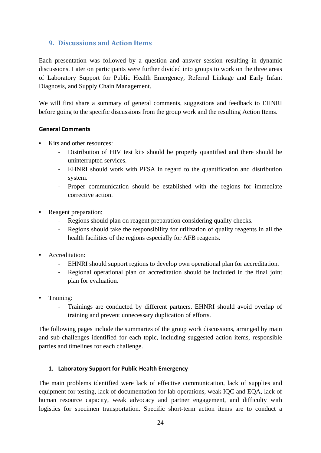#### **9. Discussions and Action Items**

Each presentation was followed by a question and answer session resulting in dynamic discussions. Later on participants were further divided into groups to work on the three areas of Laboratory Support for Public Health Emergency, Referral Linkage and Early Infant Diagnosis, and Supply Chain Management.

We will first share a summary of general comments, suggestions and feedback to EHNRI before going to the specific discussions from the group work and the resulting Action Items.

#### **General Comments**

- Kits and other resources:
	- Distribution of HIV test kits should be properly quantified and there should be uninterrupted services.
	- ‐ EHNRI should work with PFSA in regard to the quantification and distribution system.
	- ‐ Proper communication should be established with the regions for immediate corrective action.
- Reagent preparation:
	- Regions should plan on reagent preparation considering quality checks.
	- ‐ Regions should take the responsibility for utilization of quality reagents in all the health facilities of the regions especially for AFB reagents.
- Accreditation:
	- ‐ EHNRI should support regions to develop own operational plan for accreditation.
	- ‐ Regional operational plan on accreditation should be included in the final joint plan for evaluation.
- Training:
	- ‐ Trainings are conducted by different partners. EHNRI should avoid overlap of training and prevent unnecessary duplication of efforts.

The following pages include the summaries of the group work discussions, arranged by main and sub-challenges identified for each topic, including suggested action items, responsible parties and timelines for each challenge.

#### **1. Laboratory Support for Public Health Emergency**

The main problems identified were lack of effective communication, lack of supplies and equipment for testing, lack of documentation for lab operations, weak IQC and EQA, lack of human resource capacity, weak advocacy and partner engagement, and difficulty with logistics for specimen transportation. Specific short-term action items are to conduct a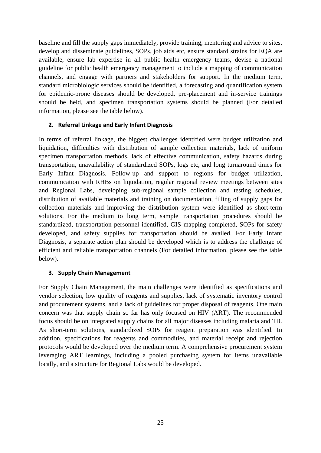baseline and fill the supply gaps immediately, provide training, mentoring and advice to sites, develop and disseminate guidelines, SOPs, job aids etc, ensure standard strains for EQA are available, ensure lab expertise in all public health emergency teams, devise a national guideline for public health emergency management to include a mapping of communication channels, and engage with partners and stakeholders for support. In the medium term, standard microbiologic services should be identified, a forecasting and quantification system for epidemic-prone diseases should be developed, pre-placement and in-service trainings should be held, and specimen transportation systems should be planned (For detailed information, please see the table below).

#### **2. Referral Linkage and Early Infant Diagnosis**

In terms of referral linkage, the biggest challenges identified were budget utilization and liquidation, difficulties with distribution of sample collection materials, lack of uniform specimen transportation methods, lack of effective communication, safety hazards during transportation, unavailability of standardized SOPs, logs etc, and long turnaround times for Early Infant Diagnosis. Follow-up and support to regions for budget utilization, communication with RHBs on liquidation, regular regional review meetings between sites and Regional Labs, developing sub-regional sample collection and testing schedules, distribution of available materials and training on documentation, filling of supply gaps for collection materials and improving the distribution system were identified as short-term solutions. For the medium to long term, sample transportation procedures should be standardized, transportation personnel identified, GIS mapping completed, SOPs for safety developed, and safety supplies for transportation should be availed. For Early Infant Diagnosis, a separate action plan should be developed which is to address the challenge of efficient and reliable transportation channels (For detailed information, please see the table below).

#### **3. Supply Chain Management**

For Supply Chain Management, the main challenges were identified as specifications and vendor selection, low quality of reagents and supplies, lack of systematic inventory control and procurement systems, and a lack of guidelines for proper disposal of reagents. One main concern was that supply chain so far has only focused on HIV (ART). The recommended focus should be on integrated supply chains for all major diseases including malaria and TB. As short-term solutions, standardized SOPs for reagent preparation was identified. In addition, specifications for reagents and commodities, and material receipt and rejection protocols would be developed over the medium term. A comprehensive procurement system leveraging ART learnings, including a pooled purchasing system for items unavailable locally, and a structure for Regional Labs would be developed.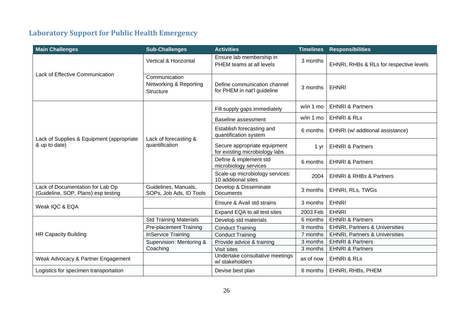### **Laboratory Support for Public Health Emergency**

| <b>Main Challenges</b>                                                  | <b>Sub-Challenges</b>                                       | <b>Activities</b>                                              | <b>Timelines</b> | <b>Responsibilities</b>                   |
|-------------------------------------------------------------------------|-------------------------------------------------------------|----------------------------------------------------------------|------------------|-------------------------------------------|
|                                                                         | Vertical & Horizontal                                       | Ensure lab membership in<br>PHEM teams at all levels           | 3 months         | EHNRI, RHBs & RLs for respective levels   |
| <b>Lack of Effective Communication</b>                                  | Communication<br>Networking & Reporting<br><b>Structure</b> | Define communication channel<br>for PHEM in nat'l guideline    | 3 months         | <b>EHNRI</b>                              |
|                                                                         |                                                             | Fill supply gaps immediately                                   | w/in 1 mo        | <b>EHNRI &amp; Partners</b>               |
|                                                                         |                                                             | <b>Baseline assessment</b>                                     | w/in 1 mo        | <b>EHNRI &amp; RLS</b>                    |
|                                                                         |                                                             | Establish forecasting and<br>quantification system             | 6 months         | EHNRI (w/ additional assistance)          |
| Lack of Supplies & Equipment (appropriate<br>& up to date)              | Lack of forecasting &<br>quantification                     | Secure appropriate equipment<br>for existing microbiology labs | 1 yr             | <b>EHNRI &amp; Partners</b>               |
|                                                                         |                                                             | Define & implement std<br>microbiology services                | 6 months         | <b>EHNRI &amp; Partners</b>               |
|                                                                         |                                                             | Scale-up microbiology services:<br>10 additional sites         | 2004             | <b>EHNRI &amp; RHBs &amp; Partners</b>    |
| Lack of Documentation for Lab Op<br>(Guideline, SOP, Plans) esp testing | Guidelines, Manuals,<br>SOPs, Job Ads, ID Tools             | Develop & Disseminate<br><b>Documents</b>                      | 3 months         | EHNRI, RLs, TWGs                          |
| Weak IQC & EQA                                                          |                                                             | Ensure & Avail std strains                                     | 3 months         | <b>EHNRI</b>                              |
|                                                                         |                                                             | Expand EQA to all test sites                                   | 2003 Feb         | <b>EHNRI</b>                              |
|                                                                         | <b>Std Training Materials</b>                               | Develop std materials                                          | 6 months         | <b>EHNRI &amp; Partners</b>               |
|                                                                         | <b>Pre-placement Training</b>                               | <b>Conduct Training</b>                                        | 9 months         | <b>EHNRI, Partners &amp; Universities</b> |
| <b>HR Capacity Building</b>                                             | <b>InService Training</b>                                   | <b>Conduct Training</b>                                        | 7 months         | <b>EHNRI, Partners &amp; Universities</b> |
|                                                                         | Supervision: Mentoring &                                    | Provide advice & training                                      | 3 months         | <b>EHNRI &amp; Partners</b>               |
|                                                                         | Coaching                                                    | Visit sites                                                    | 3 months         | <b>EHNRI &amp; Partners</b>               |
| Weak Advocacy & Partner Engagement                                      |                                                             | Undertake consultative meetings<br>w/ stakeholders             | as of now        | <b>EHNRI &amp; RLS</b>                    |
| Logistics for specimen transportation                                   |                                                             | Devise best plan                                               | 6 months         | EHNRI, RHBs, PHEM                         |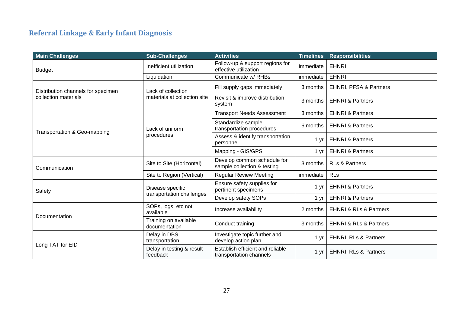### **Referral Linkage & Early Infant Diagnosis**

| <b>Main Challenges</b>             | <b>Sub-Challenges</b>                  | <b>Activities</b>                                           | <b>Timelines</b> | <b>Responsibilities</b>               |
|------------------------------------|----------------------------------------|-------------------------------------------------------------|------------------|---------------------------------------|
| <b>Budget</b>                      | Inefficient utilization                | Follow-up & support regions for<br>effective utilization    | immediate        | <b>EHNRI</b>                          |
|                                    | Liquidation                            | Communicate w/ RHBs                                         | immediate        | <b>EHNRI</b>                          |
| Distribution channels for specimen | Lack of collection                     | Fill supply gaps immediately                                | 3 months         | <b>EHNRI, PFSA &amp; Partners</b>     |
| collection materials               | materials at collection site           | Revisit & improve distribution<br>system                    | 3 months         | <b>EHNRI &amp; Partners</b>           |
|                                    |                                        | <b>Transport Needs Assessment</b>                           | 3 months         | <b>EHNRI &amp; Partners</b>           |
| Transportation & Geo-mapping       | Lack of uniform                        | Standardize sample<br>transportation procedures             | 6 months         | <b>EHNRI &amp; Partners</b>           |
|                                    | procedures                             | Assess & identify transportation<br>personnel               | $1 \, yr$        | <b>EHNRI &amp; Partners</b>           |
|                                    |                                        | Mapping - GIS/GPS                                           | 1 yr             | <b>EHNRI &amp; Partners</b>           |
| Communication                      | Site to Site (Horizontal)              | Develop common schedule for<br>sample collection & testing  | 3 months         | <b>RLs &amp; Partners</b>             |
|                                    | Site to Region (Vertical)              | <b>Regular Review Meeting</b>                               | immediate        | <b>RLs</b>                            |
| Safety                             | Disease specific                       | Ensure safety supplies for<br>pertinent specimens           | 1 yr             | <b>EHNRI &amp; Partners</b>           |
|                                    | transportation challenges              | Develop safety SOPs                                         | 1 yr             | <b>EHNRI &amp; Partners</b>           |
|                                    | SOPs, logs, etc not<br>available       | Increase availability                                       | 2 months         | <b>EHNRI &amp; RLs &amp; Partners</b> |
| Documentation                      | Training on available<br>documentation | Conduct training                                            | 3 months         | <b>EHNRI &amp; RLs &amp; Partners</b> |
| Long TAT for EID                   | Delay in DBS<br>transportation         | Investigate topic further and<br>develop action plan        | 1 yr             | <b>EHNRI, RLs &amp; Partners</b>      |
|                                    | Delay in testing & result<br>feedback  | Establish efficient and reliable<br>transportation channels | 1 yr             | <b>EHNRI, RLs &amp; Partners</b>      |